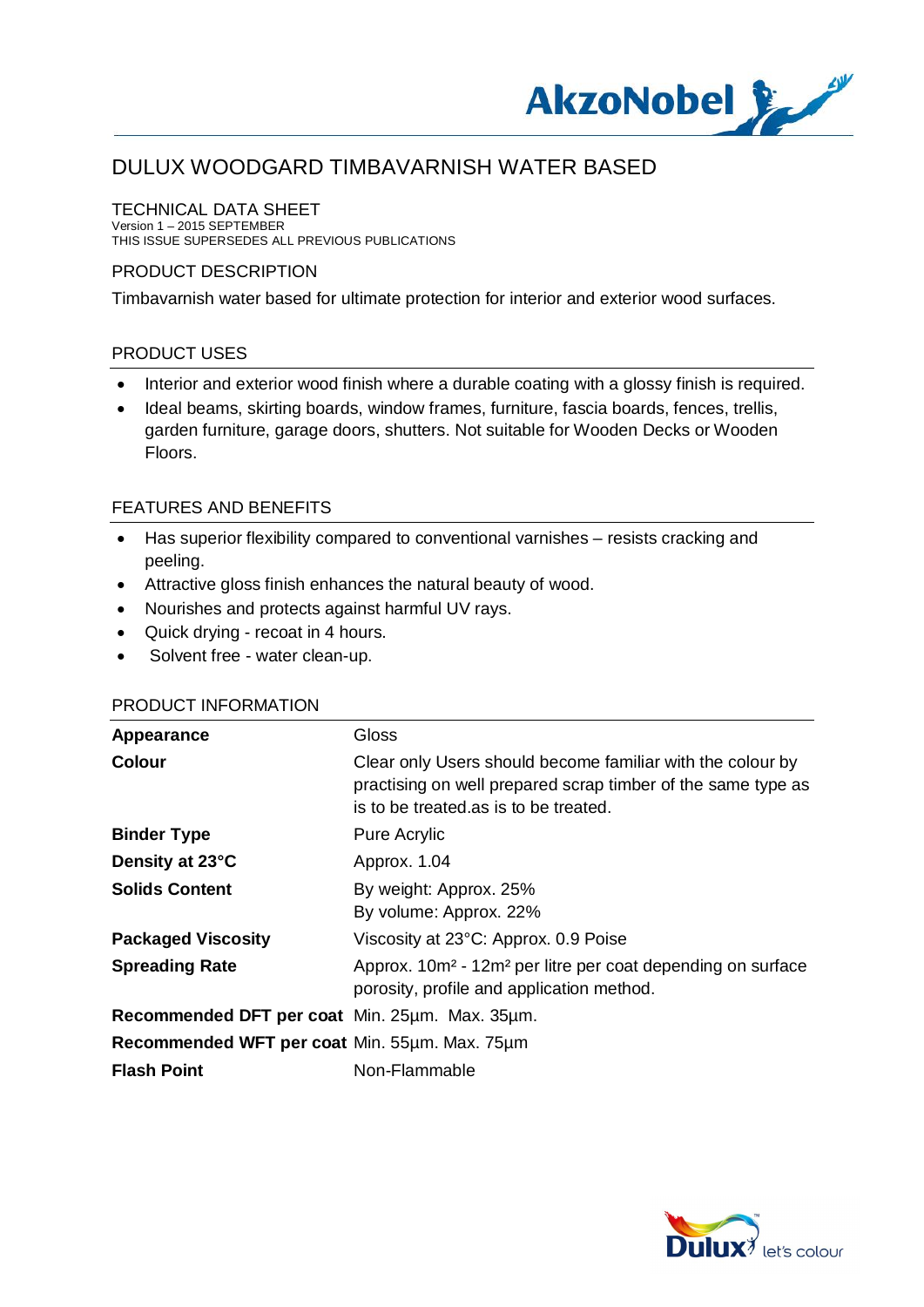

### TECHNICAL DATA SHEET

Version 1 – 2015 SEPTEMBER THIS ISSUE SUPERSEDES ALL PREVIOUS PUBLICATIONS

### PRODUCT DESCRIPTION

Timbavarnish water based for ultimate protection for interior and exterior wood surfaces.

### PRODUCT USES

- Interior and exterior wood finish where a durable coating with a glossy finish is required.
- · Ideal beams, skirting boards, window frames, furniture, fascia boards, fences, trellis, garden furniture, garage doors, shutters. Not suitable for Wooden Decks or Wooden Floors.

## FEATURES AND BENEFITS

- · Has superior flexibility compared to conventional varnishes resists cracking and peeling.
- · Attractive gloss finish enhances the natural beauty of wood.
- · Nourishes and protects against harmful UV rays.
- Quick drying recoat in 4 hours.
- · Solvent free water clean-up.

# Appearance **Gloss Colour** Clear only Users should become familiar with the colour by practising on well prepared scrap timber of the same type as is to be treated.as is to be treated. **Binder Type** Pure Acrylic **Density at 23°C** Approx. 1.04 **Solids Content** By weight: Approx. 25% By volume: Approx. 22% **Packaged Viscosity** Viscosity at 23°C: Approx. 0.9 Poise **Spreading Rate** Approx. 10m<sup>2</sup> - 12m<sup>2</sup> per litre per coat depending on surface porosity, profile and application method. **Recommended DFT per coat** Min. 25µm. Max. 35µm. **Recommended WFT per coat** Min. 55µm. Max. 75µm **Flash Point** Non-Flammable

## PRODUCT INFORMATION

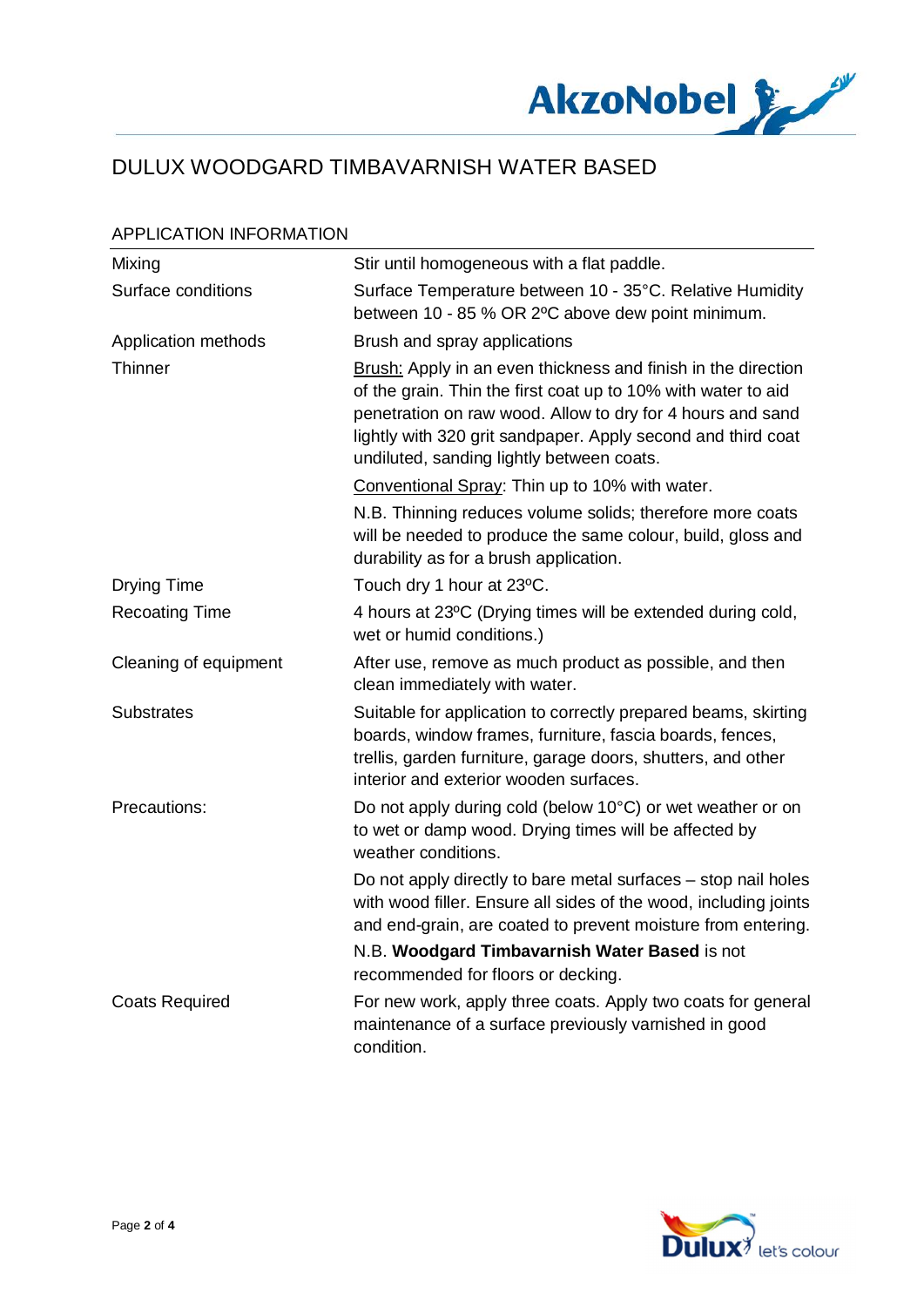

### APPLICATION INFORMATION

| Mixing                | Stir until homogeneous with a flat paddle.                                                                                                                                                                                                                                                                |
|-----------------------|-----------------------------------------------------------------------------------------------------------------------------------------------------------------------------------------------------------------------------------------------------------------------------------------------------------|
| Surface conditions    | Surface Temperature between 10 - 35°C. Relative Humidity<br>between 10 - 85 % OR 2°C above dew point minimum.                                                                                                                                                                                             |
| Application methods   | Brush and spray applications                                                                                                                                                                                                                                                                              |
| Thinner               | Brush: Apply in an even thickness and finish in the direction<br>of the grain. Thin the first coat up to 10% with water to aid<br>penetration on raw wood. Allow to dry for 4 hours and sand<br>lightly with 320 grit sandpaper. Apply second and third coat<br>undiluted, sanding lightly between coats. |
|                       | Conventional Spray: Thin up to 10% with water.                                                                                                                                                                                                                                                            |
|                       | N.B. Thinning reduces volume solids; therefore more coats<br>will be needed to produce the same colour, build, gloss and<br>durability as for a brush application.                                                                                                                                        |
| <b>Drying Time</b>    | Touch dry 1 hour at 23°C.                                                                                                                                                                                                                                                                                 |
| <b>Recoating Time</b> | 4 hours at 23°C (Drying times will be extended during cold,<br>wet or humid conditions.)                                                                                                                                                                                                                  |
| Cleaning of equipment | After use, remove as much product as possible, and then<br>clean immediately with water.                                                                                                                                                                                                                  |
| <b>Substrates</b>     | Suitable for application to correctly prepared beams, skirting<br>boards, window frames, furniture, fascia boards, fences,<br>trellis, garden furniture, garage doors, shutters, and other<br>interior and exterior wooden surfaces.                                                                      |
| Precautions:          | Do not apply during cold (below 10°C) or wet weather or on<br>to wet or damp wood. Drying times will be affected by<br>weather conditions.                                                                                                                                                                |
|                       | Do not apply directly to bare metal surfaces – stop nail holes<br>with wood filler. Ensure all sides of the wood, including joints<br>and end-grain, are coated to prevent moisture from entering.                                                                                                        |
|                       | N.B. Woodgard Timbavarnish Water Based is not<br>recommended for floors or decking.                                                                                                                                                                                                                       |
| <b>Coats Required</b> | For new work, apply three coats. Apply two coats for general<br>maintenance of a surface previously varnished in good<br>condition.                                                                                                                                                                       |

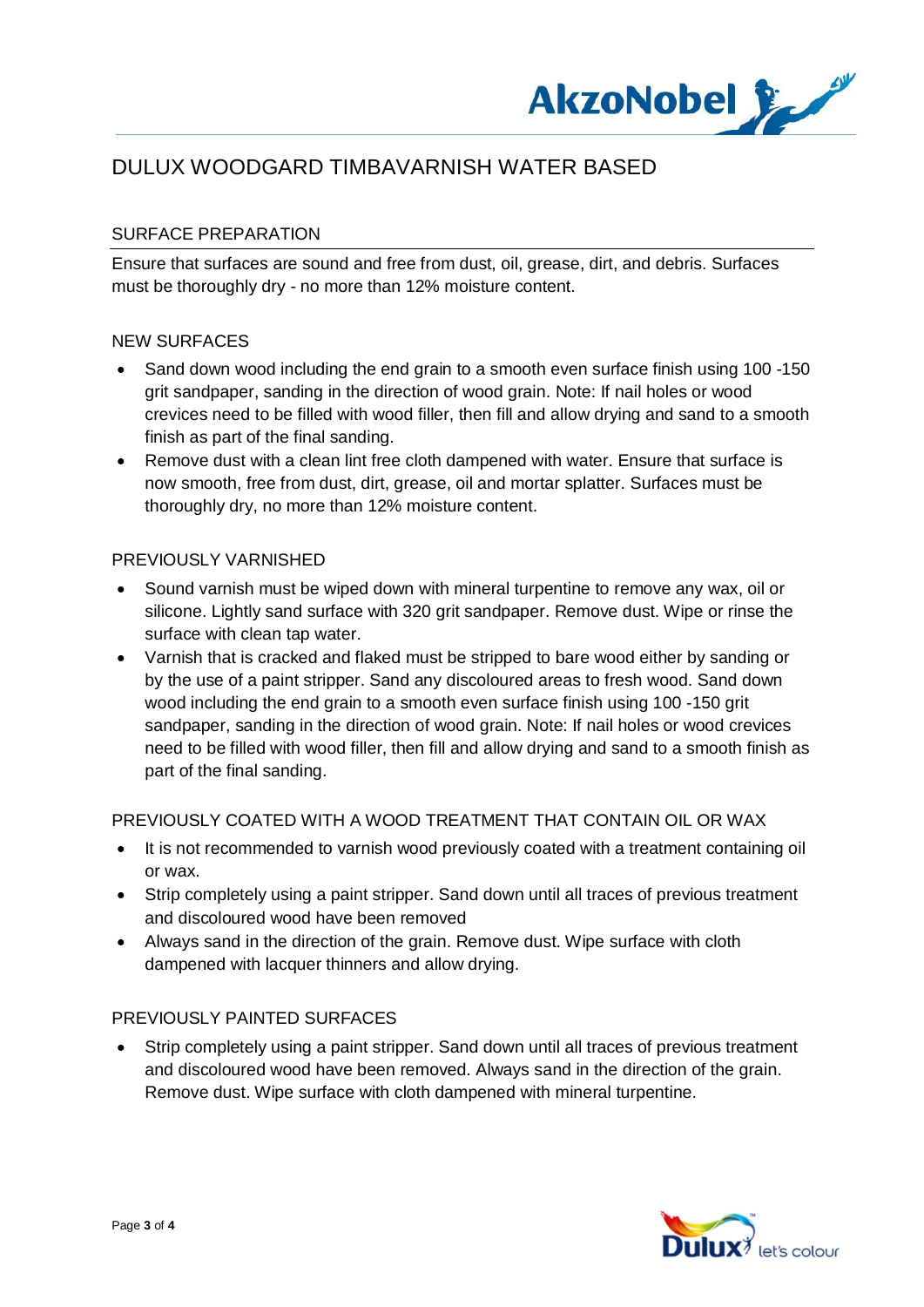

## SURFACE PREPARATION

Ensure that surfaces are sound and free from dust, oil, grease, dirt, and debris. Surfaces must be thoroughly dry - no more than 12% moisture content.

#### NEW SURFACES

- · Sand down wood including the end grain to a smooth even surface finish using 100 -150 grit sandpaper, sanding in the direction of wood grain. Note: If nail holes or wood crevices need to be filled with wood filler, then fill and allow drying and sand to a smooth finish as part of the final sanding.
- Remove dust with a clean lint free cloth dampened with water. Ensure that surface is now smooth, free from dust, dirt, grease, oil and mortar splatter. Surfaces must be thoroughly dry, no more than 12% moisture content.

### PREVIOUSLY VARNISHED

- · Sound varnish must be wiped down with mineral turpentine to remove any wax, oil or silicone. Lightly sand surface with 320 grit sandpaper. Remove dust. Wipe or rinse the surface with clean tap water.
- · Varnish that is cracked and flaked must be stripped to bare wood either by sanding or by the use of a paint stripper. Sand any discoloured areas to fresh wood. Sand down wood including the end grain to a smooth even surface finish using 100 -150 grit sandpaper, sanding in the direction of wood grain. Note: If nail holes or wood crevices need to be filled with wood filler, then fill and allow drying and sand to a smooth finish as part of the final sanding.

### PREVIOUSLY COATED WITH A WOOD TREATMENT THAT CONTAIN OIL OR WAX

- · It is not recommended to varnish wood previously coated with a treatment containing oil or wax.
- · Strip completely using a paint stripper. Sand down until all traces of previous treatment and discoloured wood have been removed
- · Always sand in the direction of the grain. Remove dust. Wipe surface with cloth dampened with lacquer thinners and allow drying.

### PREVIOUSLY PAINTED SURFACES

· Strip completely using a paint stripper. Sand down until all traces of previous treatment and discoloured wood have been removed. Always sand in the direction of the grain. Remove dust. Wipe surface with cloth dampened with mineral turpentine.